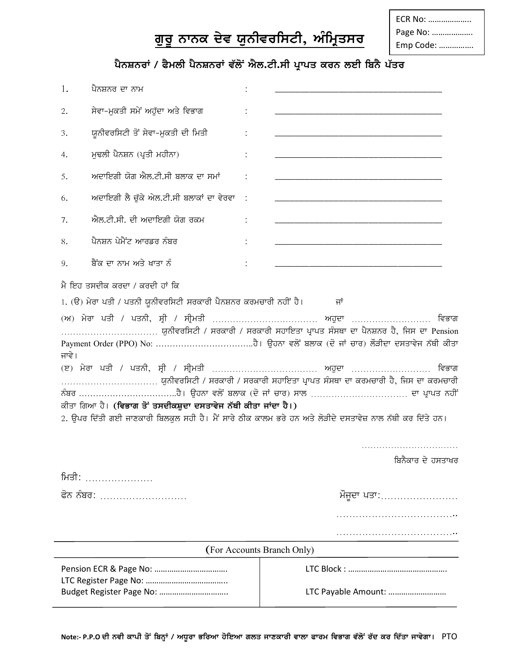## ਗੁਰੂ ਨਾਨਕ ਦੇਵ ਯੁਨੀਵਰਸਿਟੀ, ਅੰਮ੍ਰਿਤਸਰ

## ਪੈਨਸ਼ਨਰਾਂ / ਫੈਮਲੀ ਪੈਨਸ਼ਨਰਾਂ ਵੱਲੋਂ ਐਲ.ਟੀ.ਸੀ ਪ੍ਰਾਪਤ ਕਰਨ ਲਈ ਬਿਨੈ ਪੱਤਰ

| 1.    | ਪੈਨਸ਼ਨਰ ਦਾ ਨਾਮ                                                                                                                       |                                                                                                                                                                                                                                                                                               |  |
|-------|--------------------------------------------------------------------------------------------------------------------------------------|-----------------------------------------------------------------------------------------------------------------------------------------------------------------------------------------------------------------------------------------------------------------------------------------------|--|
| 2.    | ਸੇਵਾ-ਮੁਕਤੀ ਸਮੇਂ ਅਹੁੱਦਾ ਅਤੇ ਵਿਭਾਗ                                                                                                     |                                                                                                                                                                                                                                                                                               |  |
| 3.    | ਯੂਨੀਵਰਸਿਟੀ ਤੋਂ ਸੇਵਾ-ਮੁਕਤੀ ਦੀ ਮਿਤੀ                                                                                                    |                                                                                                                                                                                                                                                                                               |  |
| 4.    | ਮੁਢਲੀ ਪੈਨਸ਼ਨ (ਪ੍ਰਤੀ ਮਹੀਨਾ)                                                                                                           |                                                                                                                                                                                                                                                                                               |  |
| 5.    | ਅਦਾਇਗੀ ਯੋਗ ਐਲ.ਟੀ.ਸੀ ਬਲਾਕ ਦਾ ਸਮਾਂ                                                                                                     |                                                                                                                                                                                                                                                                                               |  |
| 6.    | ਅਦਾਇਗੀ ਲੈ ਚੱਕੇ ਐਲ.ਟੀ.ਸੀ ਬਲਾਕਾਂ ਦਾ ਵੇਰਵਾ                                                                                              |                                                                                                                                                                                                                                                                                               |  |
| 7.    | ਐਲ.ਟੀ.ਸੀ. ਦੀ ਅਦਾਇਗੀ ਯੋਗ ਰਕਮ                                                                                                          |                                                                                                                                                                                                                                                                                               |  |
| 8.    | ਪੈਨਸ਼ਨ ਪੇਮੈਂਟ ਆਰਡਰ ਨੰਬਰ                                                                                                              |                                                                                                                                                                                                                                                                                               |  |
| 9.    | ਬੈਂਕ ਦਾ ਨਾਮ ਅਤੇ ਖਾਤਾ ਨੂੰ                                                                                                             |                                                                                                                                                                                                                                                                                               |  |
| ਜਾਵੇ। | 1. (ੳ) ਮੇਰਾ ਪਤੀ / ਪਤਨੀ ਯੂਨੀਵਰਸਿਟੀ ਸਰਕਾਰੀ ਪੈਨਸ਼ਨਰ ਕਰਮਚਾਰੀ ਨਹੀਂ ਹੈ।<br>ਕੀਤਾ ਗਿਆ ਹੈ। (ਵਿਭਾਗ ਤੋਂ ਤਸਦੀਕਸ਼ੁਦਾ ਦਸਤਾਵੇਜ ਨੱਥੀ ਕੀਤਾ ਜਾਂਦਾ ਹੈ।) | ਜਾਂ<br>ਯੂਨੀਵਰਸਿਟੀ / ਸਰਕਾਰੀ / ਸਰਕਾਰੀ ਸਹਾਇਤਾ ਪ੍ਰਾਪਤ ਸੰਸਥਾ ਦਾ ਪੈਨਸ਼ਨਰ ਹੈ, ਜਿਸ ਦਾ Pension<br>ਵਿਭਾਗ<br>ਯੂਨੀਵਰਸਿਟੀ / ਸਰਕਾਰੀ / ਸਰਕਾਰੀ ਸਹਾਇਤਾ ਪ੍ਰਾਪਤ ਸੰਸਥਾ ਦਾ ਕਰਮਚਾਰੀ ਹੈ, ਜਿਸ ਦਾ ਕਰਮਚਾਰੀ<br>2. ਉਪਰ ਦਿੱਤੀ ਗਈ ਜਾਣਕਾਰੀ ਬਿਲਕੁਲ ਸਹੀ ਹੈ। ਮੈਂ ਸਾਰੇ ਠੀਕ ਕਾਲਮ ਭਰੇ ਹਨ ਅਤੇ ਲੋੜੀਦੇ ਦਸਤਾਵੇਜ਼ ਨਾਲ ਨੱਥੀ ਕਰ ਦਿੱਤੇ ਹਨ। |  |
| ਮਿਤੀ: |                                                                                                                                      | ਬਿਨੈਕਾਰ ਦੇ ਹਸਤਾਖਰ                                                                                                                                                                                                                                                                             |  |
|       | ਫੋਨ ਨੰਬਰ:                                                                                                                            | ਮੌਜੂਦਾ ਪਤਾ:…………………                                                                                                                                                                                                                                                                            |  |
|       |                                                                                                                                      |                                                                                                                                                                                                                                                                                               |  |
|       |                                                                                                                                      | (For Accounts Branch Only)                                                                                                                                                                                                                                                                    |  |
|       | Budget Register Page No:                                                                                                             | LTC Payable Amount:                                                                                                                                                                                                                                                                           |  |